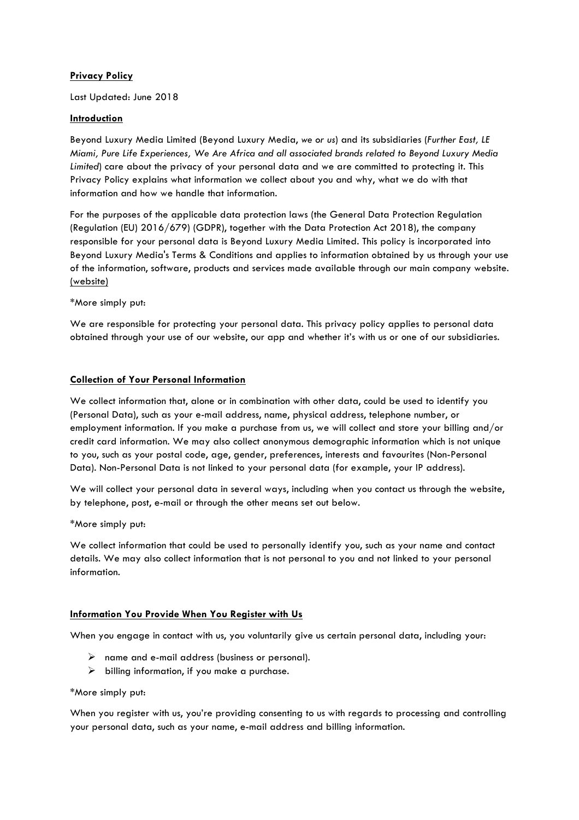# **Privacy Policy**

Last Updated: June 2018

## **Introduction**

Beyond Luxury Media Limited (Beyond Luxury Media, *we or us*) and its subsidiaries (*Further East, LE Miami, Pure Life Experiences, We Are Africa and all associated brands related to Beyond Luxury Media Limited*) care about the privacy of your personal data and we are committed to protecting it. This Privacy Policy explains what information we collect about you and why, what we do with that information and how we handle that information.

For the purposes of the applicable data protection laws (the General Data Protection Regulation (Regulation (EU) 2016/679) (GDPR), together with the Data Protection Act 2018), the company responsible for your personal data is Beyond Luxury Media Limited. This policy is incorporated into Beyond Luxury Media's Terms & Conditions and applies to information obtained by us through your use of the information, software, products and services made available through our main company website. [\(website\)](http://www.beyondluxury.com/)

\*More simply put:

We are responsible for protecting your personal data. This privacy policy applies to personal data obtained through your use of our website, our app and whether it's with us or one of our subsidiaries.

## **Collection of Your Personal Information**

We collect information that, alone or in combination with other data, could be used to identify you (Personal Data), such as your e-mail address, name, physical address, telephone number, or employment information. If you make a purchase from us, we will collect and store your billing and/or credit card information. We may also collect anonymous demographic information which is not unique to you, such as your postal code, age, gender, preferences, interests and favourites (Non-Personal Data). Non-Personal Data is not linked to your personal data (for example, your IP address).

We will collect your personal data in several ways, including when you contact us through the website, by telephone, post, e-mail or through the other means set out below.

\*More simply put:

We collect information that could be used to personally identify you, such as your name and contact details. We may also collect information that is not personal to you and not linked to your personal information.

# **Information You Provide When You Register with Us**

When you engage in contact with us, you voluntarily give us certain personal data, including your:

- $\triangleright$  name and e-mail address (business or personal).
- $\triangleright$  billing information, if you make a purchase.

### \*More simply put:

When you register with us, you're providing consenting to us with regards to processing and controlling your personal data, such as your name, e-mail address and billing information.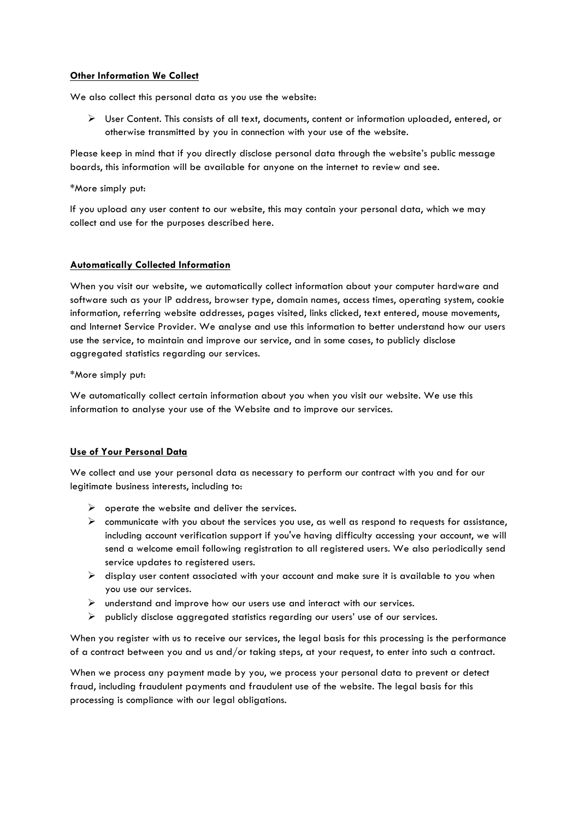## **Other Information We Collect**

We also collect this personal data as you use the website:

 $\triangleright$  User Content. This consists of all text, documents, content or information uploaded, entered, or otherwise transmitted by you in connection with your use of the website.

Please keep in mind that if you directly disclose personal data through the website's public message boards, this information will be available for anyone on the internet to review and see.

\*More simply put:

If you upload any user content to our website, this may contain your personal data, which we may collect and use for the purposes described here.

### **Automatically Collected Information**

When you visit our website, we automatically collect information about your computer hardware and software such as your IP address, browser type, domain names, access times, operating system, cookie information, referring website addresses, pages visited, links clicked, text entered, mouse movements, and Internet Service Provider. We analyse and use this information to better understand how our users use the service, to maintain and improve our service, and in some cases, to publicly disclose aggregated statistics regarding our services.

\*More simply put:

We automatically collect certain information about you when you visit our website. We use this information to analyse your use of the Website and to improve our services.

### **Use of Your Personal Data**

We collect and use your personal data as necessary to perform our contract with you and for our legitimate business interests, including to:

- $\triangleright$  operate the website and deliver the services.
- $\triangleright$  communicate with you about the services you use, as well as respond to requests for assistance, including account verification support if you've having difficulty accessing your account, we will send a welcome email following registration to all registered users. We also periodically send service updates to reaistered users.
- $\triangleright$  display user content associated with your account and make sure it is available to you when you use our services.
- $\triangleright$  understand and improve how our users use and interact with our services.
- $\triangleright$  publicly disclose aggregated statistics regarding our users' use of our services.

When you register with us to receive our services, the legal basis for this processing is the performance of a contract between you and us and/or taking steps, at your request, to enter into such a contract.

When we process any payment made by you, we process your personal data to prevent or detect fraud, including fraudulent payments and fraudulent use of the website. The legal basis for this processing is compliance with our legal obligations.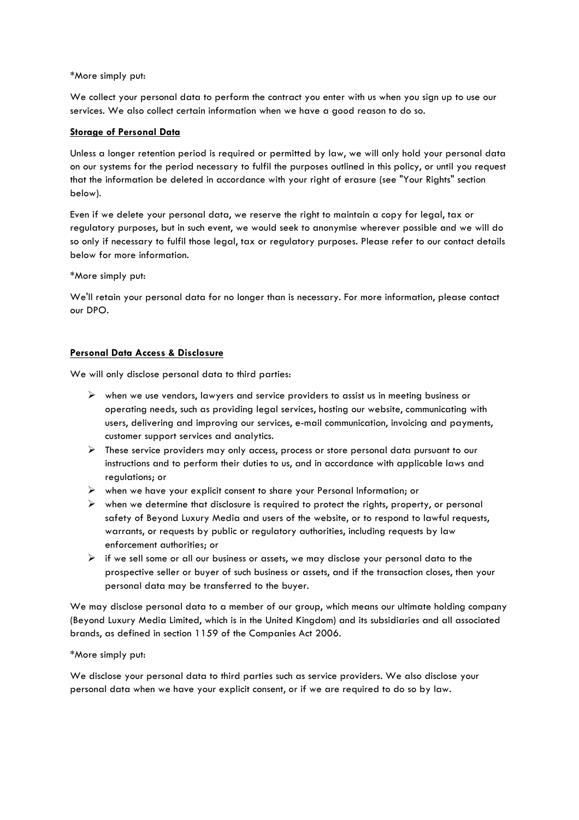### \*More simply put:

We collect your personal data to perform the contract you enter with us when you sign up to use our services. We also collect certain information when we have a good reason to do so.

## **Storage of Personal Data**

Unless a longer retention period is required or permitted by law, we will only hold your personal data on our systems for the period necessary to fulfil the purposes outlined in this policy, or until you request that the information be deleted in accordance with your right of erasure (see "Your Rights" section below).

Even if we delete your personal data, we reserve the right to maintain a copy for legal, tax or regulatory purposes, but in such event, we would seek to anonymise wherever possible and we will do so only if necessary to fulfil those legal, tax or regulatory purposes. Please refer to our contact details below for more information.

\*More simply put:

We'll retain your personal data for no longer than is necessary. For more information, please contact our DPO.

# **Personal Data Access & Disclosure**

We will only disclose personal data to third parties:

- $\triangleright$  when we use vendors, lawyers and service providers to assist us in meeting business or operating needs, such as providing legal services, hosting our website, communicating with users, delivering and improving our services, e-mail communication, invoicing and payments, customer support services and analytics.
- $\triangleright$  These service providers may only access, process or store personal data pursuant to our instructions and to perform their duties to us, and in accordance with applicable laws and regulations; or
- $\triangleright$  when we have your explicit consent to share your Personal Information; or
- $\triangleright$  when we determine that disclosure is required to protect the rights, property, or personal safety of Beyond Luxury Media and users of the website, or to respond to lawful requests, warrants, or requests by public or regulatory authorities, including requests by law enforcement authorities; or
- $\triangleright$  if we sell some or all our business or assets, we may disclose your personal data to the prospective seller or buyer of such business or assets, and if the transaction closes, then your personal data may be transferred to the buyer.

We may disclose personal data to a member of our group, which means our ultimate holding company (Beyond Luxury Media Limited, which is in the United Kingdom) and its subsidiaries and all associated brands, as defined in section 1159 of the Companies Act 2006.

### \*More simply put:

We disclose your personal data to third parties such as service providers. We also disclose your personal data when we have your explicit consent, or if we are required to do so by law.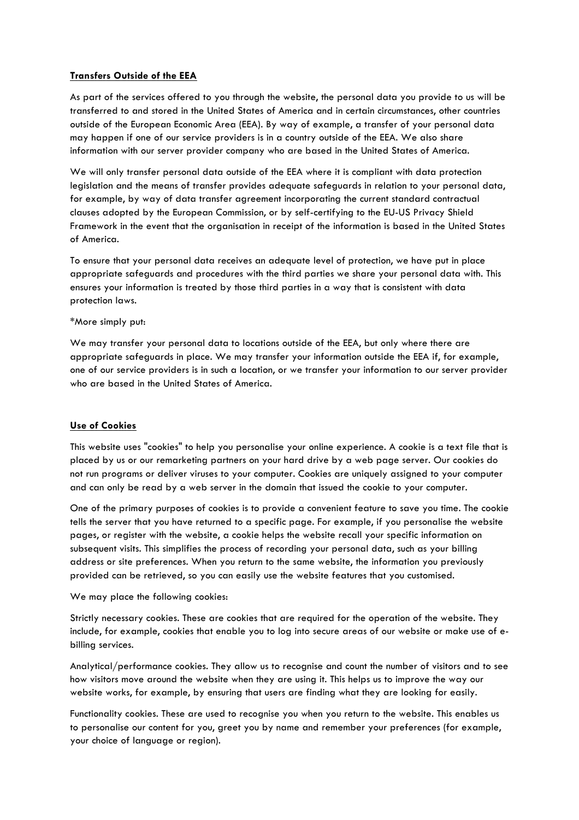# **Transfers Outside of the EEA**

As part of the services offered to you through the website, the personal data you provide to us will be transferred to and stored in the United States of America and in certain circumstances, other countries outside of the European Economic Area (EEA). By way of example, a transfer of your personal data may happen if one of our service providers is in a country outside of the EEA. We also share information with our server provider company who are based in the United States of America.

We will only transfer personal data outside of the EEA where it is compliant with data protection legislation and the means of transfer provides adequate safeguards in relation to your personal data, for example, by way of data transfer agreement incorporating the current standard contractual clauses adopted by the European Commission, or by self-certifying to the EU-US Privacy Shield Framework in the event that the organisation in receipt of the information is based in the United States of America.

To ensure that your personal data receives an adequate level of protection, we have put in place appropriate safeguards and procedures with the third parties we share your personal data with. This ensures your information is treated by those third parties in a way that is consistent with data protection laws.

### \*More simply put:

We may transfer your personal data to locations outside of the EEA, but only where there are appropriate safeguards in place. We may transfer your information outside the EEA if, for example, one of our service providers is in such a location, or we transfer your information to our server provider who are based in the United States of America.

# **Use of Cookies**

This website uses "cookies" to help you personalise your online experience. A cookie is a text file that is placed by us or our remarketing partners on your hard drive by a web page server. Our cookies do not run programs or deliver viruses to your computer. Cookies are uniquely assigned to your computer and can only be read by a web server in the domain that issued the cookie to your computer.

One of the primary purposes of cookies is to provide a convenient feature to save you time. The cookie tells the server that you have returned to a specific page. For example, if you personalise the website pages, or register with the website, a cookie helps the website recall your specific information on subsequent visits. This simplifies the process of recording your personal data, such as your billing address or site preferences. When you return to the same website, the information you previously provided can be retrieved, so you can easily use the website features that you customised.

### We may place the following cookies:

Strictly necessary cookies. These are cookies that are required for the operation of the website. They include, for example, cookies that enable you to log into secure areas of our website or make use of ebilling services.

Analytical/performance cookies. They allow us to recognise and count the number of visitors and to see how visitors move around the website when they are using it. This helps us to improve the way our website works, for example, by ensuring that users are finding what they are looking for easily.

Functionality cookies. These are used to recognise you when you return to the website. This enables us to personalise our content for you, greet you by name and remember your preferences (for example, your choice of language or region).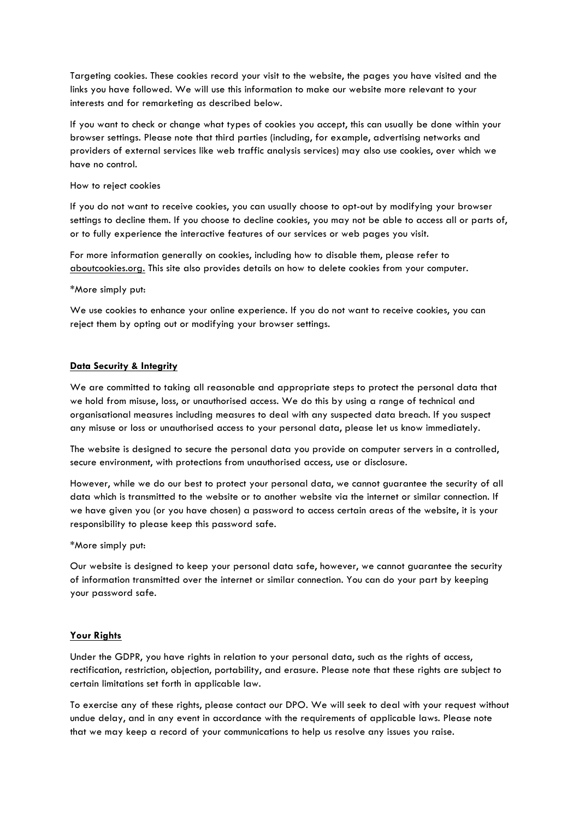Targeting cookies. These cookies record your visit to the website, the pages you have visited and the links you have followed. We will use this information to make our website more relevant to your interests and for remarketing as described below.

If you want to check or change what types of cookies you accept, this can usually be done within your browser settings. Please note that third parties (including, for example, advertising networks and providers of external services like web traffic analysis services) may also use cookies, over which we have no control.

#### How to reject cookies

If you do not want to receive cookies, you can usually choose to opt-out by modifying your browser settings to decline them. If you choose to decline cookies, you may not be able to access all or parts of, or to fully experience the interactive features of our services or web pages you visit.

For more information generally on cookies, including how to disable them, please refer to [aboutcookies.org.](https://www.aboutcookies.org/) This site also provides details on how to delete cookies from your computer.

#### \*More simply put:

We use cookies to enhance your online experience. If you do not want to receive cookies, you can reject them by opting out or modifying your browser settings.

### **Data Security & Integrity**

We are committed to taking all reasonable and appropriate steps to protect the personal data that we hold from misuse, loss, or unauthorised access. We do this by using a range of technical and organisational measures including measures to deal with any suspected data breach. If you suspect any misuse or loss or unauthorised access to your personal data, please [let us know](mailto:dpo@rocketlawyer.co.uk) immediately.

The website is designed to secure the personal data you provide on computer servers in a controlled, secure environment, with protections from unauthorised access, use or disclosure.

However, while we do our best to protect your personal data, we cannot guarantee the security of all data which is transmitted to the website or to another website via the internet or similar connection. If we have given you (or you have chosen) a password to access certain areas of the website, it is your responsibility to please keep this password safe.

### \*More simply put:

Our website is designed to keep your personal data safe, however, we cannot guarantee the security of information transmitted over the internet or similar connection. You can do your part by keeping your password safe.

### **Your Rights**

Under the GDPR, you have rights in relation to your personal data, such as the rights of access, rectification, restriction, objection, portability, and erasure. Please note that these rights are subject to certain limitations set forth in applicable law.

To exercise any of these rights, please contact our [DPO](mailto:dpo@rocketlawyer.co.uk). We will seek to deal with your request without undue delay, and in any event in accordance with the requirements of applicable laws. Please note that we may keep a record of your communications to help us resolve any issues you raise.